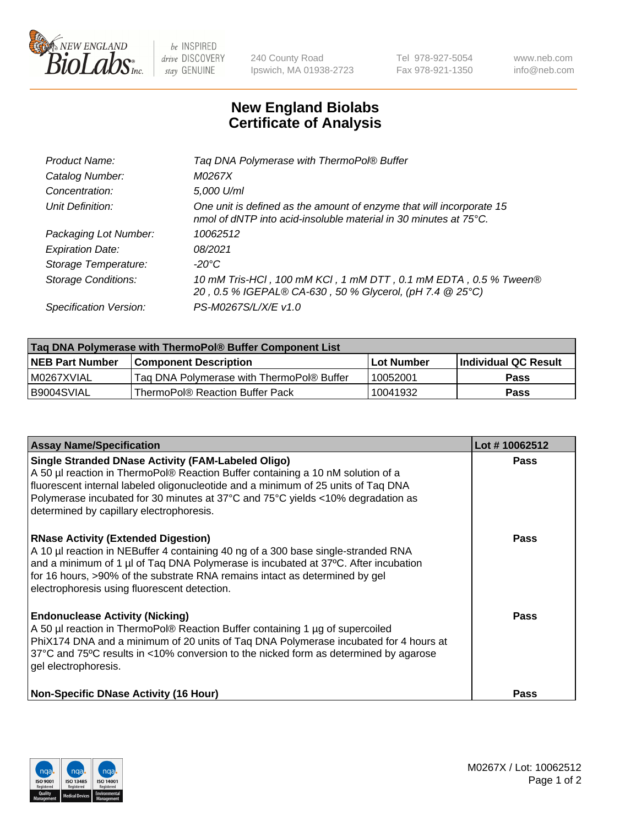

 $be$  INSPIRED drive DISCOVERY stay GENUINE

240 County Road Ipswich, MA 01938-2723 Tel 978-927-5054 Fax 978-921-1350 www.neb.com info@neb.com

## **New England Biolabs Certificate of Analysis**

| Tag DNA Polymerase with ThermoPol® Buffer                                                                                                |
|------------------------------------------------------------------------------------------------------------------------------------------|
| M0267X                                                                                                                                   |
| 5,000 U/ml                                                                                                                               |
| One unit is defined as the amount of enzyme that will incorporate 15<br>nmol of dNTP into acid-insoluble material in 30 minutes at 75°C. |
| 10062512                                                                                                                                 |
| 08/2021                                                                                                                                  |
| $-20^{\circ}$ C                                                                                                                          |
| 10 mM Tris-HCl, 100 mM KCl, 1 mM DTT, 0.1 mM EDTA, 0.5 % Tween®<br>20, 0.5 % IGEPAL® CA-630, 50 % Glycerol, (pH 7.4 @ 25°C)              |
| PS-M0267S/L/X/E v1.0                                                                                                                     |
|                                                                                                                                          |

| Tag DNA Polymerase with ThermoPol® Buffer Component List |                                           |                   |                      |  |
|----------------------------------------------------------|-------------------------------------------|-------------------|----------------------|--|
| <b>NEB Part Number</b>                                   | <b>Component Description</b>              | <b>Lot Number</b> | Individual QC Result |  |
| I M0267XVIAL                                             | Tag DNA Polymerase with ThermoPol® Buffer | 10052001          | Pass                 |  |
| B9004SVIAL                                               | ThermoPol® Reaction Buffer Pack           | 10041932          | Pass                 |  |

| <b>Assay Name/Specification</b>                                                                                                                                                                                                                                                                                                                                  | Lot #10062512 |
|------------------------------------------------------------------------------------------------------------------------------------------------------------------------------------------------------------------------------------------------------------------------------------------------------------------------------------------------------------------|---------------|
| <b>Single Stranded DNase Activity (FAM-Labeled Oligo)</b><br>A 50 µl reaction in ThermoPol® Reaction Buffer containing a 10 nM solution of a<br>fluorescent internal labeled oligonucleotide and a minimum of 25 units of Taq DNA<br>Polymerase incubated for 30 minutes at 37°C and 75°C yields <10% degradation as<br>determined by capillary electrophoresis. | Pass          |
| <b>RNase Activity (Extended Digestion)</b><br>A 10 µl reaction in NEBuffer 4 containing 40 ng of a 300 base single-stranded RNA<br>and a minimum of 1 µl of Taq DNA Polymerase is incubated at 37°C. After incubation<br>for 16 hours, >90% of the substrate RNA remains intact as determined by gel<br>electrophoresis using fluorescent detection.             | <b>Pass</b>   |
| <b>Endonuclease Activity (Nicking)</b><br>A 50 µl reaction in ThermoPol® Reaction Buffer containing 1 µg of supercoiled<br>PhiX174 DNA and a minimum of 20 units of Taq DNA Polymerase incubated for 4 hours at<br>37°C and 75°C results in <10% conversion to the nicked form as determined by agarose<br>gel electrophoresis.                                  | Pass          |
| <b>Non-Specific DNase Activity (16 Hour)</b>                                                                                                                                                                                                                                                                                                                     | Pass          |